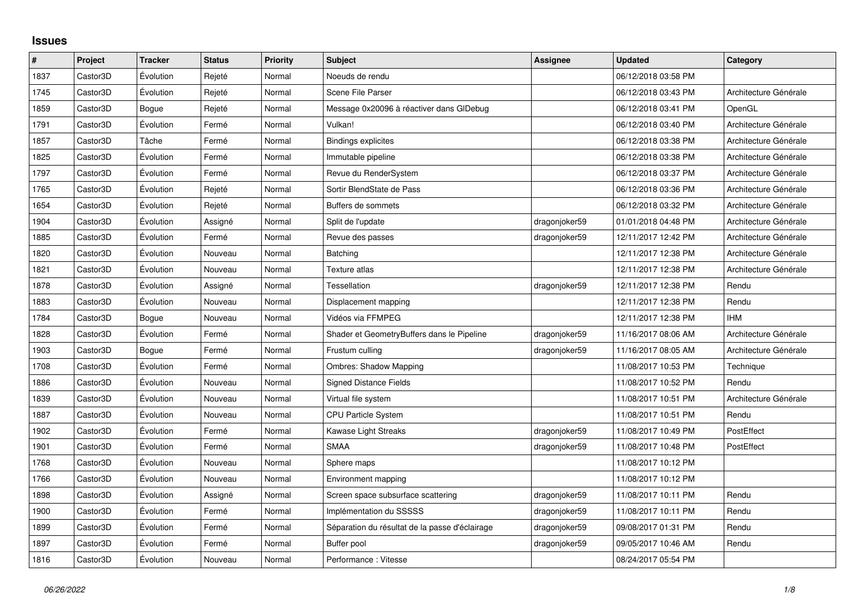## **Issues**

| $\sharp$ | Project  | <b>Tracker</b> | <b>Status</b> | Priority | <b>Subject</b>                                 | Assignee      | <b>Updated</b>      | Category              |
|----------|----------|----------------|---------------|----------|------------------------------------------------|---------------|---------------------|-----------------------|
| 1837     | Castor3D | Évolution      | Rejeté        | Normal   | Noeuds de rendu                                |               | 06/12/2018 03:58 PM |                       |
| 1745     | Castor3D | Évolution      | Rejeté        | Normal   | Scene File Parser                              |               | 06/12/2018 03:43 PM | Architecture Générale |
| 1859     | Castor3D | Bogue          | Rejeté        | Normal   | Message 0x20096 à réactiver dans GIDebug       |               | 06/12/2018 03:41 PM | OpenGL                |
| 1791     | Castor3D | Évolution      | Fermé         | Normal   | Vulkan!                                        |               | 06/12/2018 03:40 PM | Architecture Générale |
| 1857     | Castor3D | Tâche          | Fermé         | Normal   | <b>Bindings explicites</b>                     |               | 06/12/2018 03:38 PM | Architecture Générale |
| 1825     | Castor3D | Évolution      | Fermé         | Normal   | Immutable pipeline                             |               | 06/12/2018 03:38 PM | Architecture Générale |
| 1797     | Castor3D | Évolution      | Fermé         | Normal   | Revue du RenderSystem                          |               | 06/12/2018 03:37 PM | Architecture Générale |
| 1765     | Castor3D | Évolution      | Rejeté        | Normal   | Sortir BlendState de Pass                      |               | 06/12/2018 03:36 PM | Architecture Générale |
| 1654     | Castor3D | Évolution      | Rejeté        | Normal   | Buffers de sommets                             |               | 06/12/2018 03:32 PM | Architecture Générale |
| 1904     | Castor3D | Évolution      | Assigné       | Normal   | Split de l'update                              | dragonjoker59 | 01/01/2018 04:48 PM | Architecture Générale |
| 1885     | Castor3D | Évolution      | Fermé         | Normal   | Revue des passes                               | dragonjoker59 | 12/11/2017 12:42 PM | Architecture Générale |
| 1820     | Castor3D | Évolution      | Nouveau       | Normal   | Batching                                       |               | 12/11/2017 12:38 PM | Architecture Générale |
| 1821     | Castor3D | Évolution      | Nouveau       | Normal   | Texture atlas                                  |               | 12/11/2017 12:38 PM | Architecture Générale |
| 1878     | Castor3D | Évolution      | Assigné       | Normal   | <b>Tessellation</b>                            | dragonjoker59 | 12/11/2017 12:38 PM | Rendu                 |
| 1883     | Castor3D | Évolution      | Nouveau       | Normal   | Displacement mapping                           |               | 12/11/2017 12:38 PM | Rendu                 |
| 1784     | Castor3D | Bogue          | Nouveau       | Normal   | Vidéos via FFMPEG                              |               | 12/11/2017 12:38 PM | <b>IHM</b>            |
| 1828     | Castor3D | Évolution      | Fermé         | Normal   | Shader et GeometryBuffers dans le Pipeline     | dragonjoker59 | 11/16/2017 08:06 AM | Architecture Générale |
| 1903     | Castor3D | Bogue          | Fermé         | Normal   | Frustum culling                                | dragonjoker59 | 11/16/2017 08:05 AM | Architecture Générale |
| 1708     | Castor3D | Évolution      | Fermé         | Normal   | <b>Ombres: Shadow Mapping</b>                  |               | 11/08/2017 10:53 PM | Technique             |
| 1886     | Castor3D | Évolution      | Nouveau       | Normal   | <b>Signed Distance Fields</b>                  |               | 11/08/2017 10:52 PM | Rendu                 |
| 1839     | Castor3D | Évolution      | Nouveau       | Normal   | Virtual file system                            |               | 11/08/2017 10:51 PM | Architecture Générale |
| 1887     | Castor3D | Évolution      | Nouveau       | Normal   | CPU Particle System                            |               | 11/08/2017 10:51 PM | Rendu                 |
| 1902     | Castor3D | Évolution      | Fermé         | Normal   | Kawase Light Streaks                           | dragonjoker59 | 11/08/2017 10:49 PM | PostEffect            |
| 1901     | Castor3D | Évolution      | Fermé         | Normal   | <b>SMAA</b>                                    | dragonjoker59 | 11/08/2017 10:48 PM | PostEffect            |
| 1768     | Castor3D | Évolution      | Nouveau       | Normal   | Sphere maps                                    |               | 11/08/2017 10:12 PM |                       |
| 1766     | Castor3D | Évolution      | Nouveau       | Normal   | Environment mapping                            |               | 11/08/2017 10:12 PM |                       |
| 1898     | Castor3D | Évolution      | Assigné       | Normal   | Screen space subsurface scattering             | dragonjoker59 | 11/08/2017 10:11 PM | Rendu                 |
| 1900     | Castor3D | Évolution      | Fermé         | Normal   | Implémentation du SSSSS                        | dragonjoker59 | 11/08/2017 10:11 PM | Rendu                 |
| 1899     | Castor3D | Évolution      | Fermé         | Normal   | Séparation du résultat de la passe d'éclairage | dragonjoker59 | 09/08/2017 01:31 PM | Rendu                 |
| 1897     | Castor3D | Évolution      | Fermé         | Normal   | Buffer pool                                    | dragonjoker59 | 09/05/2017 10:46 AM | Rendu                 |
| 1816     | Castor3D | Évolution      | Nouveau       | Normal   | Performance: Vitesse                           |               | 08/24/2017 05:54 PM |                       |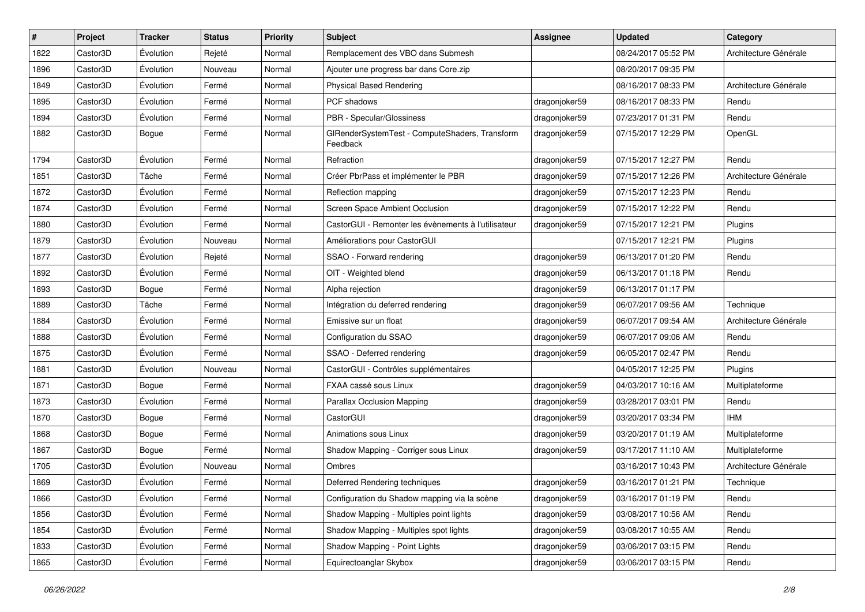| $\sharp$ | Project  | <b>Tracker</b> | <b>Status</b> | <b>Priority</b> | Subject                                                    | <b>Assignee</b> | <b>Updated</b>      | Category              |
|----------|----------|----------------|---------------|-----------------|------------------------------------------------------------|-----------------|---------------------|-----------------------|
| 1822     | Castor3D | Évolution      | Rejeté        | Normal          | Remplacement des VBO dans Submesh                          |                 | 08/24/2017 05:52 PM | Architecture Générale |
| 1896     | Castor3D | Évolution      | Nouveau       | Normal          | Ajouter une progress bar dans Core.zip                     |                 | 08/20/2017 09:35 PM |                       |
| 1849     | Castor3D | Évolution      | Fermé         | Normal          | <b>Physical Based Rendering</b>                            |                 | 08/16/2017 08:33 PM | Architecture Générale |
| 1895     | Castor3D | Évolution      | Fermé         | Normal          | PCF shadows                                                | dragonjoker59   | 08/16/2017 08:33 PM | Rendu                 |
| 1894     | Castor3D | Évolution      | Fermé         | Normal          | PBR - Specular/Glossiness                                  | dragonjoker59   | 07/23/2017 01:31 PM | Rendu                 |
| 1882     | Castor3D | Bogue          | Fermé         | Normal          | GIRenderSystemTest - ComputeShaders, Transform<br>Feedback | dragonjoker59   | 07/15/2017 12:29 PM | OpenGL                |
| 1794     | Castor3D | Évolution      | Fermé         | Normal          | Refraction                                                 | dragonjoker59   | 07/15/2017 12:27 PM | Rendu                 |
| 1851     | Castor3D | Tâche          | Fermé         | Normal          | Créer PbrPass et implémenter le PBR                        | dragonjoker59   | 07/15/2017 12:26 PM | Architecture Générale |
| 1872     | Castor3D | Évolution      | Fermé         | Normal          | Reflection mapping                                         | dragonjoker59   | 07/15/2017 12:23 PM | Rendu                 |
| 1874     | Castor3D | Évolution      | Fermé         | Normal          | Screen Space Ambient Occlusion                             | dragonjoker59   | 07/15/2017 12:22 PM | Rendu                 |
| 1880     | Castor3D | Évolution      | Fermé         | Normal          | CastorGUI - Remonter les évènements à l'utilisateur        | dragonjoker59   | 07/15/2017 12:21 PM | Plugins               |
| 1879     | Castor3D | Évolution      | Nouveau       | Normal          | Améliorations pour CastorGUI                               |                 | 07/15/2017 12:21 PM | Plugins               |
| 1877     | Castor3D | Évolution      | Rejeté        | Normal          | SSAO - Forward rendering                                   | dragonjoker59   | 06/13/2017 01:20 PM | Rendu                 |
| 1892     | Castor3D | Évolution      | Fermé         | Normal          | OIT - Weighted blend                                       | dragonjoker59   | 06/13/2017 01:18 PM | Rendu                 |
| 1893     | Castor3D | Bogue          | Fermé         | Normal          | Alpha rejection                                            | dragonjoker59   | 06/13/2017 01:17 PM |                       |
| 1889     | Castor3D | Tâche          | Fermé         | Normal          | Intégration du deferred rendering                          | dragonjoker59   | 06/07/2017 09:56 AM | Technique             |
| 1884     | Castor3D | Évolution      | Fermé         | Normal          | Emissive sur un float                                      | dragonjoker59   | 06/07/2017 09:54 AM | Architecture Générale |
| 1888     | Castor3D | Évolution      | Fermé         | Normal          | Configuration du SSAO                                      | dragonjoker59   | 06/07/2017 09:06 AM | Rendu                 |
| 1875     | Castor3D | Évolution      | Fermé         | Normal          | SSAO - Deferred rendering                                  | dragonjoker59   | 06/05/2017 02:47 PM | Rendu                 |
| 1881     | Castor3D | Évolution      | Nouveau       | Normal          | CastorGUI - Contrôles supplémentaires                      |                 | 04/05/2017 12:25 PM | Plugins               |
| 1871     | Castor3D | Bogue          | Fermé         | Normal          | FXAA cassé sous Linux                                      | dragonjoker59   | 04/03/2017 10:16 AM | Multiplateforme       |
| 1873     | Castor3D | Évolution      | Fermé         | Normal          | Parallax Occlusion Mapping                                 | dragonjoker59   | 03/28/2017 03:01 PM | Rendu                 |
| 1870     | Castor3D | Bogue          | Fermé         | Normal          | CastorGUI                                                  | dragonjoker59   | 03/20/2017 03:34 PM | <b>IHM</b>            |
| 1868     | Castor3D | Bogue          | Fermé         | Normal          | Animations sous Linux                                      | dragonjoker59   | 03/20/2017 01:19 AM | Multiplateforme       |
| 1867     | Castor3D | <b>Bogue</b>   | Fermé         | Normal          | Shadow Mapping - Corriger sous Linux                       | dragonjoker59   | 03/17/2017 11:10 AM | Multiplateforme       |
| 1705     | Castor3D | Évolution      | Nouveau       | Normal          | Ombres                                                     |                 | 03/16/2017 10:43 PM | Architecture Générale |
| 1869     | Castor3D | Évolution      | Fermé         | Normal          | Deferred Rendering techniques                              | dragonjoker59   | 03/16/2017 01:21 PM | Technique             |
| 1866     | Castor3D | Évolution      | Fermé         | Normal          | Configuration du Shadow mapping via la scène               | dragonjoker59   | 03/16/2017 01:19 PM | Rendu                 |
| 1856     | Castor3D | Évolution      | Fermé         | Normal          | Shadow Mapping - Multiples point lights                    | dragonjoker59   | 03/08/2017 10:56 AM | Rendu                 |
| 1854     | Castor3D | Évolution      | Fermé         | Normal          | Shadow Mapping - Multiples spot lights                     | dragonjoker59   | 03/08/2017 10:55 AM | Rendu                 |
| 1833     | Castor3D | Évolution      | Fermé         | Normal          | Shadow Mapping - Point Lights                              | dragonjoker59   | 03/06/2017 03:15 PM | Rendu                 |
| 1865     | Castor3D | Évolution      | Fermé         | Normal          | Equirectoanglar Skybox                                     | dragonjoker59   | 03/06/2017 03:15 PM | Rendu                 |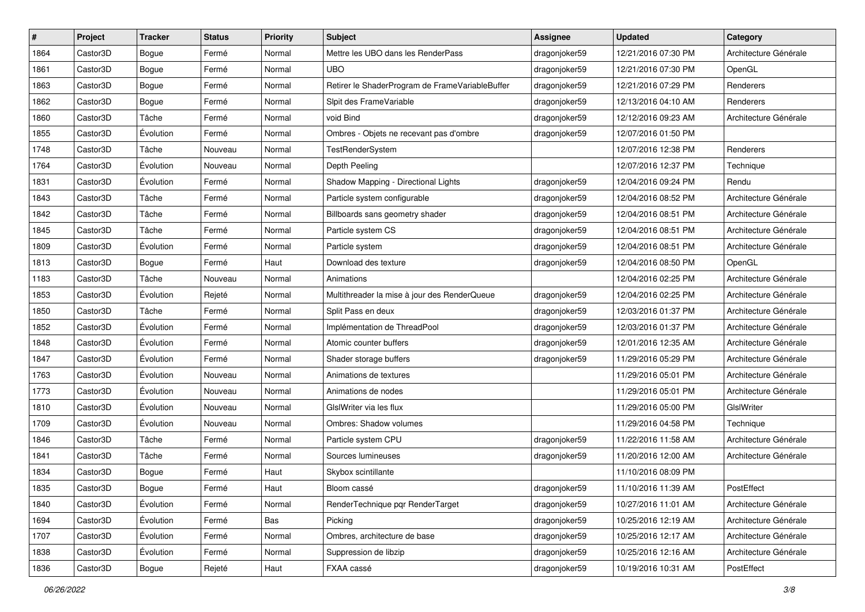| #    | Project  | <b>Tracker</b> | <b>Status</b> | <b>Priority</b> | Subject                                         | <b>Assignee</b> | <b>Updated</b>      | Category              |
|------|----------|----------------|---------------|-----------------|-------------------------------------------------|-----------------|---------------------|-----------------------|
| 1864 | Castor3D | Bogue          | Fermé         | Normal          | Mettre les UBO dans les RenderPass              | dragonjoker59   | 12/21/2016 07:30 PM | Architecture Générale |
| 1861 | Castor3D | Bogue          | Fermé         | Normal          | <b>UBO</b>                                      | dragonjoker59   | 12/21/2016 07:30 PM | OpenGL                |
| 1863 | Castor3D | Bogue          | Fermé         | Normal          | Retirer le ShaderProgram de FrameVariableBuffer | dragonjoker59   | 12/21/2016 07:29 PM | Renderers             |
| 1862 | Castor3D | Bogue          | Fermé         | Normal          | Sipit des FrameVariable                         | dragonjoker59   | 12/13/2016 04:10 AM | Renderers             |
| 1860 | Castor3D | Tâche          | Fermé         | Normal          | void Bind                                       | dragonjoker59   | 12/12/2016 09:23 AM | Architecture Générale |
| 1855 | Castor3D | Évolution      | Fermé         | Normal          | Ombres - Objets ne recevant pas d'ombre         | dragonjoker59   | 12/07/2016 01:50 PM |                       |
| 1748 | Castor3D | Tâche          | Nouveau       | Normal          | TestRenderSystem                                |                 | 12/07/2016 12:38 PM | Renderers             |
| 1764 | Castor3D | Évolution      | Nouveau       | Normal          | Depth Peeling                                   |                 | 12/07/2016 12:37 PM | Technique             |
| 1831 | Castor3D | Évolution      | Fermé         | Normal          | Shadow Mapping - Directional Lights             | dragonjoker59   | 12/04/2016 09:24 PM | Rendu                 |
| 1843 | Castor3D | Tâche          | Fermé         | Normal          | Particle system configurable                    | dragonjoker59   | 12/04/2016 08:52 PM | Architecture Générale |
| 1842 | Castor3D | Tâche          | Fermé         | Normal          | Billboards sans geometry shader                 | dragonjoker59   | 12/04/2016 08:51 PM | Architecture Générale |
| 1845 | Castor3D | Tâche          | Fermé         | Normal          | Particle system CS                              | dragonjoker59   | 12/04/2016 08:51 PM | Architecture Générale |
| 1809 | Castor3D | Évolution      | Fermé         | Normal          | Particle system                                 | dragonjoker59   | 12/04/2016 08:51 PM | Architecture Générale |
| 1813 | Castor3D | Bogue          | Fermé         | Haut            | Download des texture                            | dragonjoker59   | 12/04/2016 08:50 PM | OpenGL                |
| 1183 | Castor3D | Tâche          | Nouveau       | Normal          | Animations                                      |                 | 12/04/2016 02:25 PM | Architecture Générale |
| 1853 | Castor3D | Évolution      | Rejeté        | Normal          | Multithreader la mise à jour des RenderQueue    | dragonjoker59   | 12/04/2016 02:25 PM | Architecture Générale |
| 1850 | Castor3D | Tâche          | Fermé         | Normal          | Split Pass en deux                              | dragonjoker59   | 12/03/2016 01:37 PM | Architecture Générale |
| 1852 | Castor3D | Évolution      | Fermé         | Normal          | Implémentation de ThreadPool                    | dragonjoker59   | 12/03/2016 01:37 PM | Architecture Générale |
| 1848 | Castor3D | Évolution      | Fermé         | Normal          | Atomic counter buffers                          | dragonjoker59   | 12/01/2016 12:35 AM | Architecture Générale |
| 1847 | Castor3D | Évolution      | Fermé         | Normal          | Shader storage buffers                          | dragonjoker59   | 11/29/2016 05:29 PM | Architecture Générale |
| 1763 | Castor3D | Évolution      | Nouveau       | Normal          | Animations de textures                          |                 | 11/29/2016 05:01 PM | Architecture Générale |
| 1773 | Castor3D | Évolution      | Nouveau       | Normal          | Animations de nodes                             |                 | 11/29/2016 05:01 PM | Architecture Générale |
| 1810 | Castor3D | Évolution      | Nouveau       | Normal          | GIslWriter via les flux                         |                 | 11/29/2016 05:00 PM | GIslWriter            |
| 1709 | Castor3D | Évolution      | Nouveau       | Normal          | Ombres: Shadow volumes                          |                 | 11/29/2016 04:58 PM | Technique             |
| 1846 | Castor3D | Tâche          | Fermé         | Normal          | Particle system CPU                             | dragonjoker59   | 11/22/2016 11:58 AM | Architecture Générale |
| 1841 | Castor3D | Tâche          | Fermé         | Normal          | Sources lumineuses                              | dragonjoker59   | 11/20/2016 12:00 AM | Architecture Générale |
| 1834 | Castor3D | Bogue          | Fermé         | Haut            | Skybox scintillante                             |                 | 11/10/2016 08:09 PM |                       |
| 1835 | Castor3D | Bogue          | Fermé         | Haut            | Bloom cassé                                     | dragonjoker59   | 11/10/2016 11:39 AM | PostEffect            |
| 1840 | Castor3D | Évolution      | Fermé         | Normal          | RenderTechnique pqr RenderTarget                | dragonjoker59   | 10/27/2016 11:01 AM | Architecture Générale |
| 1694 | Castor3D | Évolution      | Fermé         | Bas             | Picking                                         | dragonjoker59   | 10/25/2016 12:19 AM | Architecture Générale |
| 1707 | Castor3D | Évolution      | Fermé         | Normal          | Ombres, architecture de base                    | dragonjoker59   | 10/25/2016 12:17 AM | Architecture Générale |
| 1838 | Castor3D | Évolution      | Fermé         | Normal          | Suppression de libzip                           | dragonjoker59   | 10/25/2016 12:16 AM | Architecture Générale |
| 1836 | Castor3D | Bogue          | Rejeté        | Haut            | FXAA cassé                                      | dragonjoker59   | 10/19/2016 10:31 AM | PostEffect            |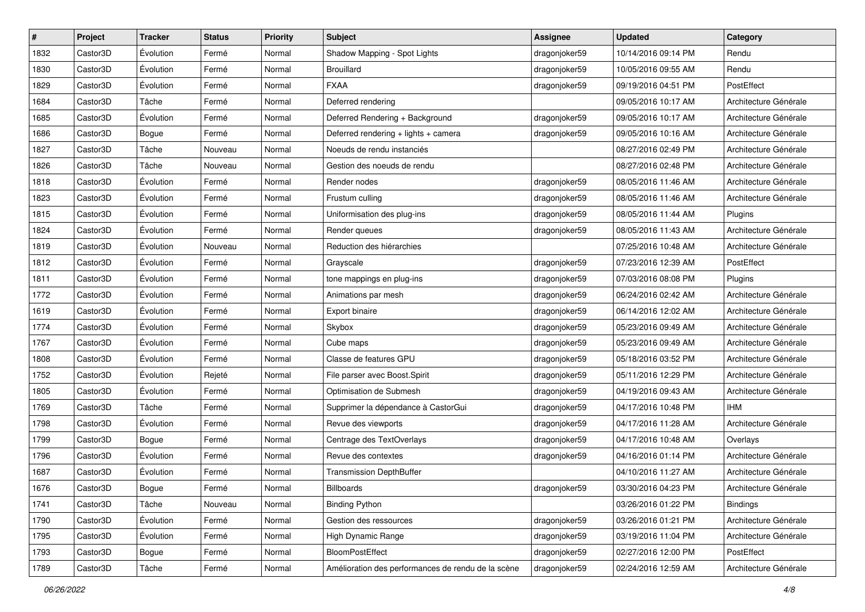| #    | Project  | <b>Tracker</b> | <b>Status</b> | <b>Priority</b> | Subject                                            | <b>Assignee</b> | <b>Updated</b>      | Category              |
|------|----------|----------------|---------------|-----------------|----------------------------------------------------|-----------------|---------------------|-----------------------|
| 1832 | Castor3D | Évolution      | Fermé         | Normal          | Shadow Mapping - Spot Lights                       | dragonjoker59   | 10/14/2016 09:14 PM | Rendu                 |
| 1830 | Castor3D | Évolution      | Fermé         | Normal          | <b>Brouillard</b>                                  | dragonjoker59   | 10/05/2016 09:55 AM | Rendu                 |
| 1829 | Castor3D | Évolution      | Fermé         | Normal          | <b>FXAA</b>                                        | dragonjoker59   | 09/19/2016 04:51 PM | PostEffect            |
| 1684 | Castor3D | Tâche          | Fermé         | Normal          | Deferred rendering                                 |                 | 09/05/2016 10:17 AM | Architecture Générale |
| 1685 | Castor3D | Évolution      | Fermé         | Normal          | Deferred Rendering + Background                    | dragonjoker59   | 09/05/2016 10:17 AM | Architecture Générale |
| 1686 | Castor3D | Bogue          | Fermé         | Normal          | Deferred rendering + lights + camera               | dragonjoker59   | 09/05/2016 10:16 AM | Architecture Générale |
| 1827 | Castor3D | Tâche          | Nouveau       | Normal          | Noeuds de rendu instanciés                         |                 | 08/27/2016 02:49 PM | Architecture Générale |
| 1826 | Castor3D | Tâche          | Nouveau       | Normal          | Gestion des noeuds de rendu                        |                 | 08/27/2016 02:48 PM | Architecture Générale |
| 1818 | Castor3D | Évolution      | Fermé         | Normal          | Render nodes                                       | dragonjoker59   | 08/05/2016 11:46 AM | Architecture Générale |
| 1823 | Castor3D | Évolution      | Fermé         | Normal          | Frustum culling                                    | dragonjoker59   | 08/05/2016 11:46 AM | Architecture Générale |
| 1815 | Castor3D | Évolution      | Fermé         | Normal          | Uniformisation des plug-ins                        | dragonjoker59   | 08/05/2016 11:44 AM | Plugins               |
| 1824 | Castor3D | Évolution      | Fermé         | Normal          | Render queues                                      | dragonjoker59   | 08/05/2016 11:43 AM | Architecture Générale |
| 1819 | Castor3D | Évolution      | Nouveau       | Normal          | Reduction des hiérarchies                          |                 | 07/25/2016 10:48 AM | Architecture Générale |
| 1812 | Castor3D | Évolution      | Fermé         | Normal          | Grayscale                                          | dragonjoker59   | 07/23/2016 12:39 AM | PostEffect            |
| 1811 | Castor3D | Évolution      | Fermé         | Normal          | tone mappings en plug-ins                          | dragonjoker59   | 07/03/2016 08:08 PM | Plugins               |
| 1772 | Castor3D | Évolution      | Fermé         | Normal          | Animations par mesh                                | dragonjoker59   | 06/24/2016 02:42 AM | Architecture Générale |
| 1619 | Castor3D | Évolution      | Fermé         | Normal          | Export binaire                                     | dragonjoker59   | 06/14/2016 12:02 AM | Architecture Générale |
| 1774 | Castor3D | Évolution      | Fermé         | Normal          | Skybox                                             | dragonjoker59   | 05/23/2016 09:49 AM | Architecture Générale |
| 1767 | Castor3D | Évolution      | Fermé         | Normal          | Cube maps                                          | dragonjoker59   | 05/23/2016 09:49 AM | Architecture Générale |
| 1808 | Castor3D | Évolution      | Fermé         | Normal          | Classe de features GPU                             | dragonjoker59   | 05/18/2016 03:52 PM | Architecture Générale |
| 1752 | Castor3D | Évolution      | Rejeté        | Normal          | File parser avec Boost.Spirit                      | dragonjoker59   | 05/11/2016 12:29 PM | Architecture Générale |
| 1805 | Castor3D | Évolution      | Fermé         | Normal          | Optimisation de Submesh                            | dragonjoker59   | 04/19/2016 09:43 AM | Architecture Générale |
| 1769 | Castor3D | Tâche          | Fermé         | Normal          | Supprimer la dépendance à CastorGui                | dragonjoker59   | 04/17/2016 10:48 PM | <b>IHM</b>            |
| 1798 | Castor3D | Évolution      | Fermé         | Normal          | Revue des viewports                                | dragonjoker59   | 04/17/2016 11:28 AM | Architecture Générale |
| 1799 | Castor3D | Bogue          | Fermé         | Normal          | Centrage des TextOverlays                          | dragonjoker59   | 04/17/2016 10:48 AM | Overlays              |
| 1796 | Castor3D | Évolution      | Fermé         | Normal          | Revue des contextes                                | dragonjoker59   | 04/16/2016 01:14 PM | Architecture Générale |
| 1687 | Castor3D | Évolution      | Fermé         | Normal          | <b>Transmission DepthBuffer</b>                    |                 | 04/10/2016 11:27 AM | Architecture Générale |
| 1676 | Castor3D | Bogue          | Fermé         | Normal          | Billboards                                         | dragonjoker59   | 03/30/2016 04:23 PM | Architecture Générale |
| 1741 | Castor3D | Tâche          | Nouveau       | Normal          | <b>Binding Python</b>                              |                 | 03/26/2016 01:22 PM | <b>Bindings</b>       |
| 1790 | Castor3D | Évolution      | Fermé         | Normal          | Gestion des ressources                             | dragonjoker59   | 03/26/2016 01:21 PM | Architecture Générale |
| 1795 | Castor3D | Évolution      | Fermé         | Normal          | High Dynamic Range                                 | dragonjoker59   | 03/19/2016 11:04 PM | Architecture Générale |
| 1793 | Castor3D | Bogue          | Fermé         | Normal          | BloomPostEffect                                    | dragonjoker59   | 02/27/2016 12:00 PM | PostEffect            |
| 1789 | Castor3D | Tâche          | Fermé         | Normal          | Amélioration des performances de rendu de la scène | dragonjoker59   | 02/24/2016 12:59 AM | Architecture Générale |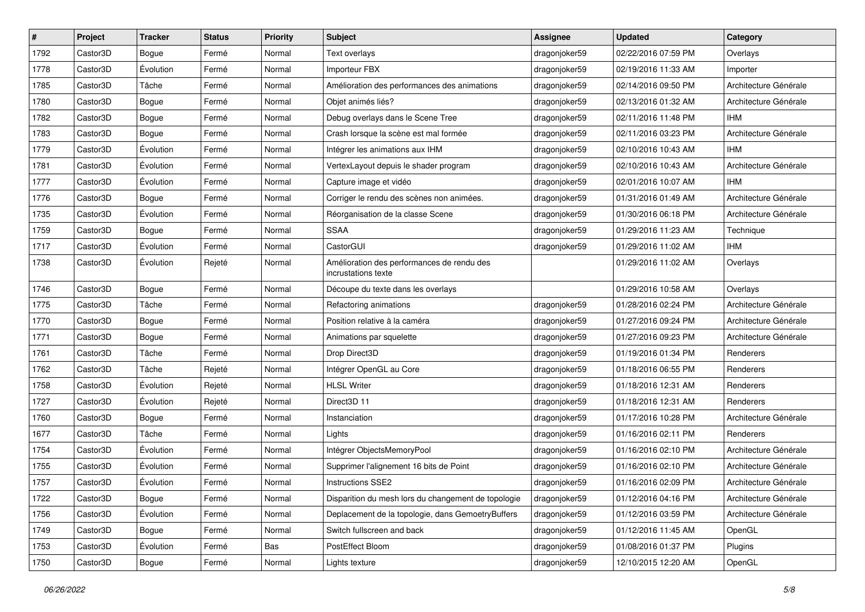| $\pmb{\#}$ | Project               | <b>Tracker</b> | <b>Status</b> | <b>Priority</b> | Subject                                                           | <b>Assignee</b> | <b>Updated</b>      | Category              |
|------------|-----------------------|----------------|---------------|-----------------|-------------------------------------------------------------------|-----------------|---------------------|-----------------------|
| 1792       | Castor3D              | <b>Bogue</b>   | Fermé         | Normal          | Text overlays                                                     | dragonjoker59   | 02/22/2016 07:59 PM | Overlays              |
| 1778       | Castor3D              | Évolution      | Fermé         | Normal          | Importeur FBX                                                     | dragonjoker59   | 02/19/2016 11:33 AM | Importer              |
| 1785       | Castor3D              | Tâche          | Fermé         | Normal          | Amélioration des performances des animations                      | dragonjoker59   | 02/14/2016 09:50 PM | Architecture Générale |
| 1780       | Castor3D              | Bogue          | Fermé         | Normal          | Objet animés liés?                                                | dragonjoker59   | 02/13/2016 01:32 AM | Architecture Générale |
| 1782       | Castor3D              | <b>Bogue</b>   | Fermé         | Normal          | Debug overlays dans le Scene Tree                                 | dragonjoker59   | 02/11/2016 11:48 PM | <b>IHM</b>            |
| 1783       | Castor3D              | Bogue          | Fermé         | Normal          | Crash lorsque la scène est mal formée                             | dragonjoker59   | 02/11/2016 03:23 PM | Architecture Générale |
| 1779       | Castor3D              | Évolution      | Fermé         | Normal          | Intégrer les animations aux IHM                                   | dragonjoker59   | 02/10/2016 10:43 AM | <b>IHM</b>            |
| 1781       | Castor3D              | Évolution      | Fermé         | Normal          | VertexLayout depuis le shader program                             | dragonjoker59   | 02/10/2016 10:43 AM | Architecture Générale |
| 1777       | Castor3D              | Évolution      | Fermé         | Normal          | Capture image et vidéo                                            | dragonjoker59   | 02/01/2016 10:07 AM | <b>IHM</b>            |
| 1776       | Castor3D              | <b>Bogue</b>   | Fermé         | Normal          | Corriger le rendu des scènes non animées.                         | dragonjoker59   | 01/31/2016 01:49 AM | Architecture Générale |
| 1735       | Castor3D              | Évolution      | Fermé         | Normal          | Réorganisation de la classe Scene                                 | dragonjoker59   | 01/30/2016 06:18 PM | Architecture Générale |
| 1759       | Castor3D              | Bogue          | Fermé         | Normal          | <b>SSAA</b>                                                       | dragonjoker59   | 01/29/2016 11:23 AM | Technique             |
| 1717       | Castor3D              | Évolution      | Fermé         | Normal          | CastorGUI                                                         | dragonjoker59   | 01/29/2016 11:02 AM | <b>IHM</b>            |
| 1738       | Castor3D              | Évolution      | Rejeté        | Normal          | Amélioration des performances de rendu des<br>incrustations texte |                 | 01/29/2016 11:02 AM | Overlays              |
| 1746       | Castor3D              | Bogue          | Fermé         | Normal          | Découpe du texte dans les overlays                                |                 | 01/29/2016 10:58 AM | Overlays              |
| 1775       | Castor3D              | Tâche          | Fermé         | Normal          | Refactoring animations                                            | dragonjoker59   | 01/28/2016 02:24 PM | Architecture Générale |
| 1770       | Castor3D              | <b>Bogue</b>   | Fermé         | Normal          | Position relative à la caméra                                     | dragonjoker59   | 01/27/2016 09:24 PM | Architecture Générale |
| 1771       | Castor3D              | Bogue          | Fermé         | Normal          | Animations par squelette                                          | dragonjoker59   | 01/27/2016 09:23 PM | Architecture Générale |
| 1761       | Castor3D              | Tâche          | Fermé         | Normal          | Drop Direct3D                                                     | dragonjoker59   | 01/19/2016 01:34 PM | Renderers             |
| 1762       | Castor3D              | Tâche          | Rejeté        | Normal          | Intégrer OpenGL au Core                                           | dragonjoker59   | 01/18/2016 06:55 PM | Renderers             |
| 1758       | Castor3D              | Évolution      | Rejeté        | Normal          | <b>HLSL Writer</b>                                                | dragonjoker59   | 01/18/2016 12:31 AM | Renderers             |
| 1727       | Castor3D              | Évolution      | Rejeté        | Normal          | Direct3D 11                                                       | dragonjoker59   | 01/18/2016 12:31 AM | Renderers             |
| 1760       | Castor <sub>3</sub> D | Bogue          | Fermé         | Normal          | Instanciation                                                     | dragonjoker59   | 01/17/2016 10:28 PM | Architecture Générale |
| 1677       | Castor3D              | Tâche          | Fermé         | Normal          | Lights                                                            | dragonjoker59   | 01/16/2016 02:11 PM | Renderers             |
| 1754       | Castor3D              | Évolution      | Fermé         | Normal          | Intégrer ObjectsMemoryPool                                        | dragonjoker59   | 01/16/2016 02:10 PM | Architecture Générale |
| 1755       | Castor3D              | Évolution      | Fermé         | Normal          | Supprimer l'alignement 16 bits de Point                           | dragonjoker59   | 01/16/2016 02:10 PM | Architecture Générale |
| 1757       | Castor3D              | Évolution      | Fermé         | Normal          | Instructions SSE2                                                 | dragonjoker59   | 01/16/2016 02:09 PM | Architecture Générale |
| 1722       | Castor3D              | Bogue          | Fermé         | Normal          | Disparition du mesh lors du changement de topologie               | dragonjoker59   | 01/12/2016 04:16 PM | Architecture Générale |
| 1756       | Castor3D              | Évolution      | Fermé         | Normal          | Deplacement de la topologie, dans GemoetryBuffers                 | dragonjoker59   | 01/12/2016 03:59 PM | Architecture Générale |
| 1749       | Castor3D              | Bogue          | Fermé         | Normal          | Switch fullscreen and back                                        | dragonjoker59   | 01/12/2016 11:45 AM | OpenGL                |
| 1753       | Castor3D              | Évolution      | Fermé         | Bas             | PostEffect Bloom                                                  | dragonjoker59   | 01/08/2016 01:37 PM | Plugins               |
| 1750       | Castor3D              | Bogue          | Fermé         | Normal          | Lights texture                                                    | dragonjoker59   | 12/10/2015 12:20 AM | OpenGL                |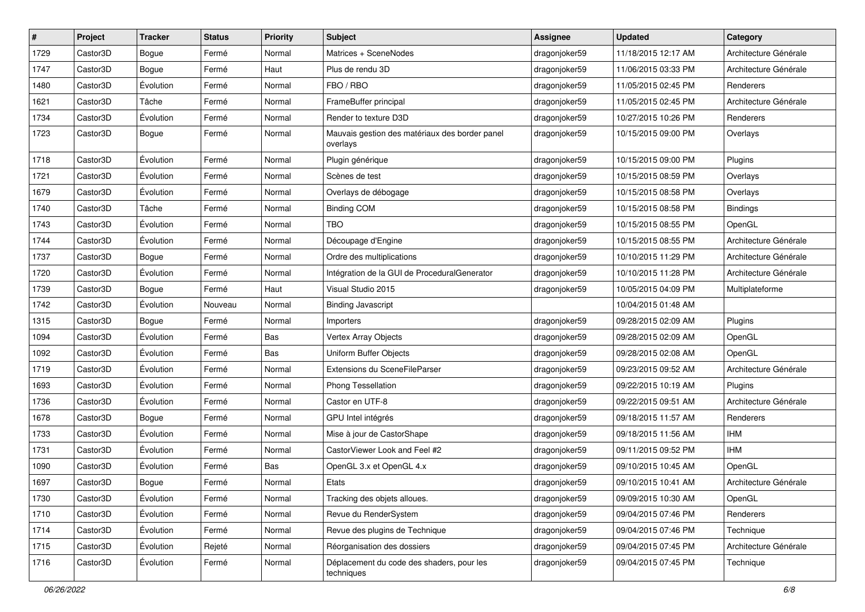| $\vert$ # | Project  | <b>Tracker</b> | <b>Status</b> | <b>Priority</b> | <b>Subject</b>                                             | <b>Assignee</b> | <b>Updated</b>      | Category              |
|-----------|----------|----------------|---------------|-----------------|------------------------------------------------------------|-----------------|---------------------|-----------------------|
| 1729      | Castor3D | <b>Bogue</b>   | Fermé         | Normal          | Matrices + SceneNodes                                      | dragonjoker59   | 11/18/2015 12:17 AM | Architecture Générale |
| 1747      | Castor3D | <b>Bogue</b>   | Fermé         | Haut            | Plus de rendu 3D                                           | dragonjoker59   | 11/06/2015 03:33 PM | Architecture Générale |
| 1480      | Castor3D | Évolution      | Fermé         | Normal          | FBO / RBO                                                  | dragonjoker59   | 11/05/2015 02:45 PM | Renderers             |
| 1621      | Castor3D | Tâche          | Fermé         | Normal          | FrameBuffer principal                                      | dragonjoker59   | 11/05/2015 02:45 PM | Architecture Générale |
| 1734      | Castor3D | Évolution      | Fermé         | Normal          | Render to texture D3D                                      | dragonjoker59   | 10/27/2015 10:26 PM | Renderers             |
| 1723      | Castor3D | <b>Bogue</b>   | Fermé         | Normal          | Mauvais gestion des matériaux des border panel<br>overlays | dragonjoker59   | 10/15/2015 09:00 PM | Overlays              |
| 1718      | Castor3D | Évolution      | Fermé         | Normal          | Plugin générique                                           | dragonjoker59   | 10/15/2015 09:00 PM | Plugins               |
| 1721      | Castor3D | Évolution      | Fermé         | Normal          | Scènes de test                                             | dragonjoker59   | 10/15/2015 08:59 PM | Overlays              |
| 1679      | Castor3D | Évolution      | Fermé         | Normal          | Overlays de débogage                                       | dragonjoker59   | 10/15/2015 08:58 PM | Overlays              |
| 1740      | Castor3D | Tâche          | Fermé         | Normal          | <b>Binding COM</b>                                         | dragonjoker59   | 10/15/2015 08:58 PM | Bindings              |
| 1743      | Castor3D | Évolution      | Fermé         | Normal          | <b>TBO</b>                                                 | dragonjoker59   | 10/15/2015 08:55 PM | OpenGL                |
| 1744      | Castor3D | Évolution      | Fermé         | Normal          | Découpage d'Engine                                         | dragonjoker59   | 10/15/2015 08:55 PM | Architecture Générale |
| 1737      | Castor3D | <b>Bogue</b>   | Fermé         | Normal          | Ordre des multiplications                                  | dragonjoker59   | 10/10/2015 11:29 PM | Architecture Générale |
| 1720      | Castor3D | Évolution      | Fermé         | Normal          | Intégration de la GUI de ProceduralGenerator               | dragonjoker59   | 10/10/2015 11:28 PM | Architecture Générale |
| 1739      | Castor3D | Bogue          | Fermé         | Haut            | Visual Studio 2015                                         | dragonjoker59   | 10/05/2015 04:09 PM | Multiplateforme       |
| 1742      | Castor3D | Évolution      | Nouveau       | Normal          | <b>Binding Javascript</b>                                  |                 | 10/04/2015 01:48 AM |                       |
| 1315      | Castor3D | Bogue          | Fermé         | Normal          | Importers                                                  | dragonjoker59   | 09/28/2015 02:09 AM | Plugins               |
| 1094      | Castor3D | Évolution      | Fermé         | Bas             | Vertex Array Objects                                       | dragonjoker59   | 09/28/2015 02:09 AM | OpenGL                |
| 1092      | Castor3D | Évolution      | Fermé         | Bas             | Uniform Buffer Objects                                     | dragonjoker59   | 09/28/2015 02:08 AM | OpenGL                |
| 1719      | Castor3D | Évolution      | Fermé         | Normal          | Extensions du SceneFileParser                              | dragonjoker59   | 09/23/2015 09:52 AM | Architecture Générale |
| 1693      | Castor3D | Évolution      | Fermé         | Normal          | Phong Tessellation                                         | dragonjoker59   | 09/22/2015 10:19 AM | Plugins               |
| 1736      | Castor3D | Évolution      | Fermé         | Normal          | Castor en UTF-8                                            | dragonjoker59   | 09/22/2015 09:51 AM | Architecture Générale |
| 1678      | Castor3D | <b>Bogue</b>   | Fermé         | Normal          | GPU Intel intégrés                                         | dragonjoker59   | 09/18/2015 11:57 AM | Renderers             |
| 1733      | Castor3D | Évolution      | Fermé         | Normal          | Mise à jour de CastorShape                                 | dragonjoker59   | 09/18/2015 11:56 AM | <b>IHM</b>            |
| 1731      | Castor3D | Évolution      | Fermé         | Normal          | CastorViewer Look and Feel #2                              | dragonjoker59   | 09/11/2015 09:52 PM | <b>IHM</b>            |
| 1090      | Castor3D | Évolution      | Fermé         | Bas             | OpenGL 3.x et OpenGL 4.x                                   | dragonjoker59   | 09/10/2015 10:45 AM | OpenGL                |
| 1697      | Castor3D | <b>Bogue</b>   | Fermé         | Normal          | Etats                                                      | dragonjoker59   | 09/10/2015 10:41 AM | Architecture Générale |
| 1730      | Castor3D | Évolution      | Fermé         | Normal          | Tracking des objets alloues.                               | dragonjoker59   | 09/09/2015 10:30 AM | OpenGL                |
| 1710      | Castor3D | Évolution      | Fermé         | Normal          | Revue du RenderSystem                                      | dragonjoker59   | 09/04/2015 07:46 PM | Renderers             |
| 1714      | Castor3D | Évolution      | Fermé         | Normal          | Revue des plugins de Technique                             | dragonjoker59   | 09/04/2015 07:46 PM | Technique             |
| 1715      | Castor3D | Évolution      | Rejeté        | Normal          | Réorganisation des dossiers                                | dragonjoker59   | 09/04/2015 07:45 PM | Architecture Générale |
| 1716      | Castor3D | Évolution      | Fermé         | Normal          | Déplacement du code des shaders, pour les<br>techniques    | dragonjoker59   | 09/04/2015 07:45 PM | Technique             |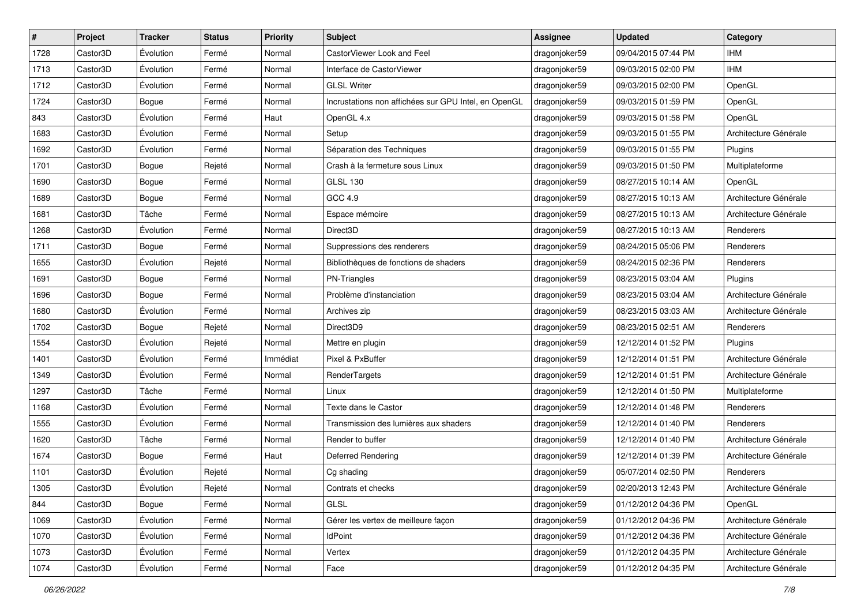| #    | Project  | <b>Tracker</b> | <b>Status</b> | <b>Priority</b> | Subject                                              | <b>Assignee</b> | <b>Updated</b>      | Category              |
|------|----------|----------------|---------------|-----------------|------------------------------------------------------|-----------------|---------------------|-----------------------|
| 1728 | Castor3D | Évolution      | Fermé         | Normal          | CastorViewer Look and Feel                           | dragonjoker59   | 09/04/2015 07:44 PM | <b>IHM</b>            |
| 1713 | Castor3D | Évolution      | Fermé         | Normal          | Interface de CastorViewer                            | dragonjoker59   | 09/03/2015 02:00 PM | <b>IHM</b>            |
| 1712 | Castor3D | Évolution      | Fermé         | Normal          | <b>GLSL Writer</b>                                   | dragonjoker59   | 09/03/2015 02:00 PM | OpenGL                |
| 1724 | Castor3D | Bogue          | Fermé         | Normal          | Incrustations non affichées sur GPU Intel, en OpenGL | dragonjoker59   | 09/03/2015 01:59 PM | OpenGL                |
| 843  | Castor3D | Évolution      | Fermé         | Haut            | OpenGL 4.x                                           | dragonjoker59   | 09/03/2015 01:58 PM | OpenGL                |
| 1683 | Castor3D | Évolution      | Fermé         | Normal          | Setup                                                | dragonjoker59   | 09/03/2015 01:55 PM | Architecture Générale |
| 1692 | Castor3D | Évolution      | Fermé         | Normal          | Séparation des Techniques                            | dragonjoker59   | 09/03/2015 01:55 PM | Plugins               |
| 1701 | Castor3D | Bogue          | Rejeté        | Normal          | Crash à la fermeture sous Linux                      | dragonjoker59   | 09/03/2015 01:50 PM | Multiplateforme       |
| 1690 | Castor3D | Bogue          | Fermé         | Normal          | <b>GLSL 130</b>                                      | dragonjoker59   | 08/27/2015 10:14 AM | OpenGL                |
| 1689 | Castor3D | <b>Bogue</b>   | Fermé         | Normal          | GCC 4.9                                              | dragonjoker59   | 08/27/2015 10:13 AM | Architecture Générale |
| 1681 | Castor3D | Tâche          | Fermé         | Normal          | Espace mémoire                                       | dragonjoker59   | 08/27/2015 10:13 AM | Architecture Générale |
| 1268 | Castor3D | Évolution      | Fermé         | Normal          | Direct3D                                             | dragonjoker59   | 08/27/2015 10:13 AM | Renderers             |
| 1711 | Castor3D | Bogue          | Fermé         | Normal          | Suppressions des renderers                           | dragonjoker59   | 08/24/2015 05:06 PM | Renderers             |
| 1655 | Castor3D | Évolution      | Rejeté        | Normal          | Bibliothèques de fonctions de shaders                | dragonjoker59   | 08/24/2015 02:36 PM | Renderers             |
| 1691 | Castor3D | Bogue          | Fermé         | Normal          | PN-Triangles                                         | dragonjoker59   | 08/23/2015 03:04 AM | Plugins               |
| 1696 | Castor3D | Bogue          | Fermé         | Normal          | Problème d'instanciation                             | dragonjoker59   | 08/23/2015 03:04 AM | Architecture Générale |
| 1680 | Castor3D | Évolution      | Fermé         | Normal          | Archives zip                                         | dragonjoker59   | 08/23/2015 03:03 AM | Architecture Générale |
| 1702 | Castor3D | Bogue          | Rejeté        | Normal          | Direct3D9                                            | dragonjoker59   | 08/23/2015 02:51 AM | Renderers             |
| 1554 | Castor3D | Évolution      | Rejeté        | Normal          | Mettre en plugin                                     | dragonjoker59   | 12/12/2014 01:52 PM | Plugins               |
| 1401 | Castor3D | Évolution      | Fermé         | Immédiat        | Pixel & PxBuffer                                     | dragonjoker59   | 12/12/2014 01:51 PM | Architecture Générale |
| 1349 | Castor3D | Évolution      | Fermé         | Normal          | RenderTargets                                        | dragonjoker59   | 12/12/2014 01:51 PM | Architecture Générale |
| 1297 | Castor3D | Tâche          | Fermé         | Normal          | Linux                                                | dragonjoker59   | 12/12/2014 01:50 PM | Multiplateforme       |
| 1168 | Castor3D | Évolution      | Fermé         | Normal          | Texte dans le Castor                                 | dragonjoker59   | 12/12/2014 01:48 PM | Renderers             |
| 1555 | Castor3D | Évolution      | Fermé         | Normal          | Transmission des lumières aux shaders                | dragonjoker59   | 12/12/2014 01:40 PM | Renderers             |
| 1620 | Castor3D | Tâche          | Fermé         | Normal          | Render to buffer                                     | dragonjoker59   | 12/12/2014 01:40 PM | Architecture Générale |
| 1674 | Castor3D | Bogue          | Fermé         | Haut            | Deferred Rendering                                   | dragonjoker59   | 12/12/2014 01:39 PM | Architecture Générale |
| 1101 | Castor3D | Évolution      | Rejeté        | Normal          | Cg shading                                           | dragonjoker59   | 05/07/2014 02:50 PM | Renderers             |
| 1305 | Castor3D | Évolution      | Rejeté        | Normal          | Contrats et checks                                   | dragonjoker59   | 02/20/2013 12:43 PM | Architecture Générale |
| 844  | Castor3D | Bogue          | Fermé         | Normal          | GLSL                                                 | dragonjoker59   | 01/12/2012 04:36 PM | OpenGL                |
| 1069 | Castor3D | Évolution      | Fermé         | Normal          | Gérer les vertex de meilleure façon                  | dragonjoker59   | 01/12/2012 04:36 PM | Architecture Générale |
| 1070 | Castor3D | Évolution      | Fermé         | Normal          | <b>IdPoint</b>                                       | dragonjoker59   | 01/12/2012 04:36 PM | Architecture Générale |
| 1073 | Castor3D | Évolution      | Fermé         | Normal          | Vertex                                               | dragonjoker59   | 01/12/2012 04:35 PM | Architecture Générale |
| 1074 | Castor3D | Évolution      | Fermé         | Normal          | Face                                                 | dragonjoker59   | 01/12/2012 04:35 PM | Architecture Générale |